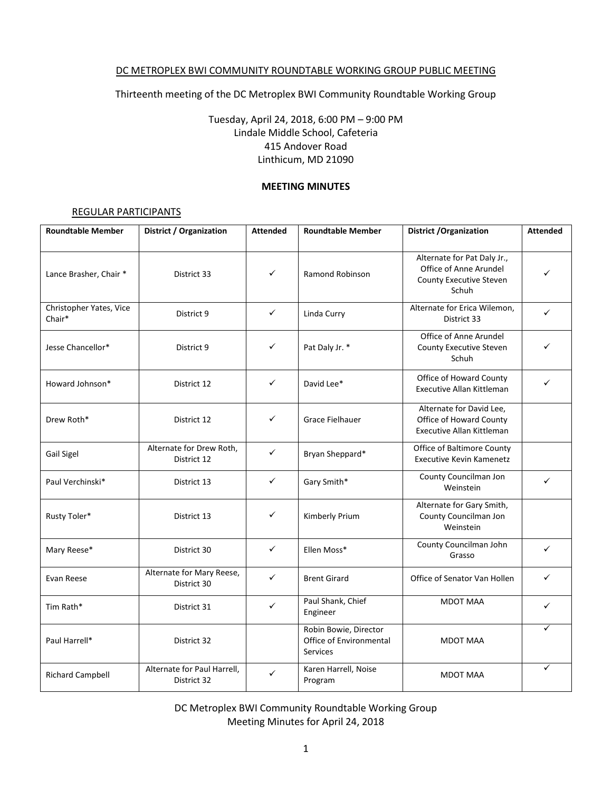## DC METROPLEX BWI COMMUNITY ROUNDTABLE WORKING GROUP PUBLIC MEETING

Thirteenth meeting of the DC Metroplex BWI Community Roundtable Working Group

Tuesday, April 24, 2018, 6:00 PM – 9:00 PM Lindale Middle School, Cafeteria 415 Andover Road Linthicum, MD 21090

### **MEETING MINUTES**

### REGULAR PARTICIPANTS

| <b>Roundtable Member</b>          | District / Organization                    | <b>Attended</b> | <b>Roundtable Member</b>                                     | <b>District / Organization</b>                                                            | <b>Attended</b> |
|-----------------------------------|--------------------------------------------|-----------------|--------------------------------------------------------------|-------------------------------------------------------------------------------------------|-----------------|
| Lance Brasher, Chair *            | District 33                                | ✓               | <b>Ramond Robinson</b>                                       | Alternate for Pat Daly Jr.,<br>Office of Anne Arundel<br>County Executive Steven<br>Schuh |                 |
| Christopher Yates, Vice<br>Chair* | District 9                                 | ✓               | Linda Curry                                                  | Alternate for Erica Wilemon,<br>District 33                                               | $\checkmark$    |
| Jesse Chancellor*                 | District 9                                 | ✓               | Pat Daly Jr. *                                               | Office of Anne Arundel<br>County Executive Steven<br>Schuh                                | ✓               |
| Howard Johnson*                   | District 12                                | ✓               | David Lee*                                                   | Office of Howard County<br><b>Executive Allan Kittleman</b>                               | ✓               |
| Drew Roth*                        | District 12                                | ✓               | Grace Fielhauer                                              | Alternate for David Lee,<br>Office of Howard County<br><b>Executive Allan Kittleman</b>   |                 |
| Gail Sigel                        | Alternate for Drew Roth,<br>District 12    | $\checkmark$    | Bryan Sheppard*                                              | <b>Office of Baltimore County</b><br><b>Executive Kevin Kamenetz</b>                      |                 |
| Paul Verchinski*                  | District 13                                | ✓               | Gary Smith*                                                  | County Councilman Jon<br>Weinstein                                                        | ✓               |
| Rusty Toler*                      | District 13                                | ✓               | Kimberly Prium                                               | Alternate for Gary Smith,<br>County Councilman Jon<br>Weinstein                           |                 |
| Mary Reese*                       | District 30                                | ✓               | Ellen Moss*                                                  | County Councilman John<br>Grasso                                                          | $\checkmark$    |
| Evan Reese                        | Alternate for Mary Reese,<br>District 30   | $\checkmark$    | <b>Brent Girard</b>                                          | Office of Senator Van Hollen                                                              | ✓               |
| Tim Rath*                         | District 31                                | ✓               | Paul Shank, Chief<br>Engineer                                | <b>MDOT MAA</b>                                                                           | $\checkmark$    |
| Paul Harrell*                     | District 32                                |                 | Robin Bowie, Director<br>Office of Environmental<br>Services | <b>MDOT MAA</b>                                                                           |                 |
| <b>Richard Campbell</b>           | Alternate for Paul Harrell,<br>District 32 | $\checkmark$    | Karen Harrell, Noise<br>Program                              | <b>MDOT MAA</b>                                                                           | $\checkmark$    |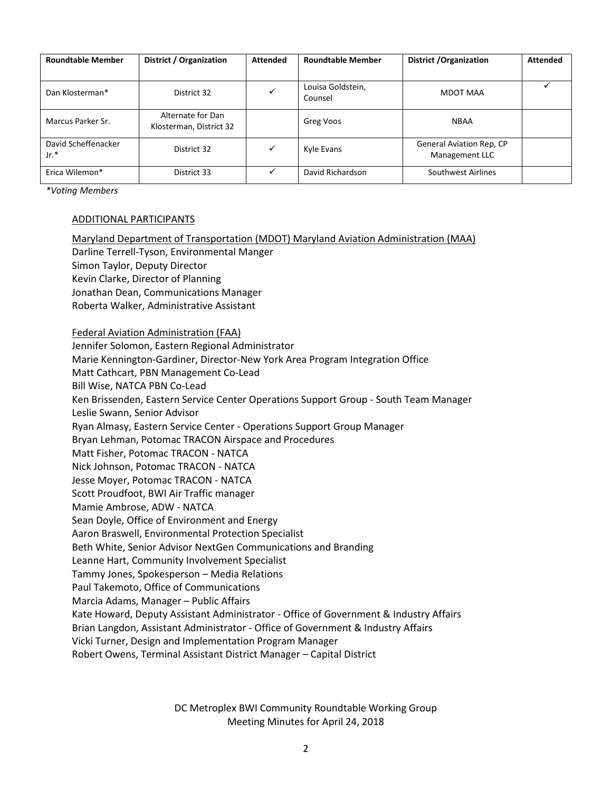| <b>Roundtable Member</b>    | District / Organization                      | <b>Attended</b> | <b>Roundtable Member</b>     | District / Organization                           | <b>Attended</b> |
|-----------------------------|----------------------------------------------|-----------------|------------------------------|---------------------------------------------------|-----------------|
| Dan Klosterman*             | District 32                                  | ✓               | Louisa Goldstein,<br>Counsel | MDOT MAA                                          |                 |
| Marcus Parker Sr.           | Alternate for Dan<br>Klosterman, District 32 |                 | Greg Voos                    | <b>NBAA</b>                                       |                 |
| David Scheffenacker<br>Jr.* | District 32                                  | ✓               | Kyle Evans                   | <b>General Aviation Rep, CP</b><br>Management LLC |                 |
| Erica Wilemon*              | District 33                                  |                 | David Richardson             | Southwest Airlines                                |                 |

*\*Voting Members*

### ADDITIONAL PARTICIPANTS

Maryland Department of Transportation (MDOT) Maryland Aviation Administration (MAA) Darline Terrell-Tyson, Environmental Manger Simon Taylor, Deputy Director Kevin Clarke, Director of Planning Jonathan Dean, Communications Manager Roberta Walker, Administrative Assistant Federal Aviation Administration (FAA) Jennifer Solomon, Eastern Regional Administrator Marie Kennington-Gardiner, Director-New York Area Program Integration Office Matt Cathcart, PBN Management Co-Lead Bill Wise, NATCA PBN Co-Lead Ken Brissenden, Eastern Service Center Operations Support Group - South Team Manager Leslie Swann, Senior Advisor Ryan Almasy, Eastern Service Center - Operations Support Group Manager Bryan Lehman, Potomac TRACON Airspace and Procedures Matt Fisher, Potomac TRACON - NATCA Nick Johnson, Potomac TRACON - NATCA Jesse Moyer, Potomac TRACON - NATCA Scott Proudfoot, BWI Air Traffic manager Mamie Ambrose, ADW - NATCA Sean Doyle, Office of Environment and Energy Aaron Braswell, Environmental Protection Specialist Beth White, Senior Advisor NextGen Communications and Branding Leanne Hart, Community Involvement Specialist Tammy Jones, Spokesperson – Media Relations

Paul Takemoto, Office of Communications

Marcia Adams, Manager – Public Affairs

Kate Howard, Deputy Assistant Administrator - Office of Government & Industry Affairs

Brian Langdon, Assistant Administrator - Office of Government & Industry Affairs

Vicki Turner, Design and Implementation Program Manager

Robert Owens, Terminal Assistant District Manager – Capital District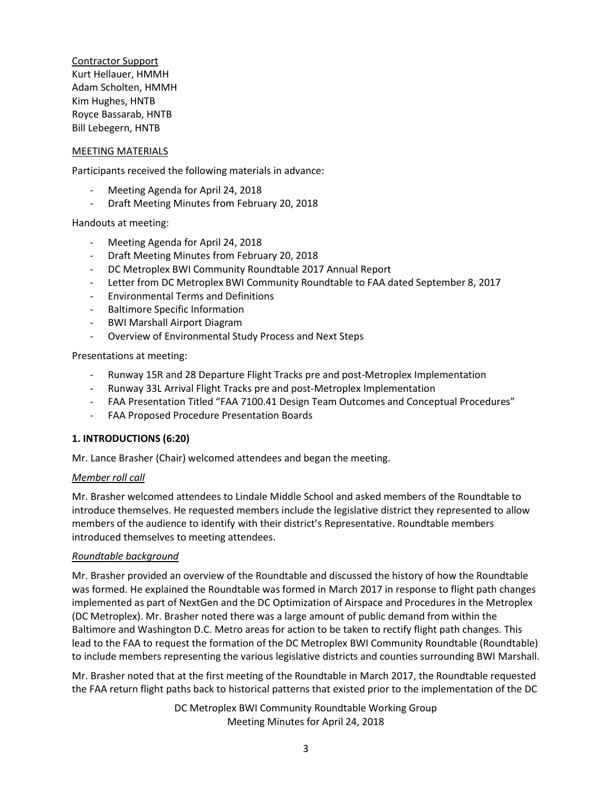Contractor Support Kurt Hellauer, HMMH Adam Scholten, HMMH Kim Hughes, HNTB Royce Bassarab, HNTB Bill Lebegern, HNTB

## MEETING MATERIALS

Participants received the following materials in advance:

- Meeting Agenda for April 24, 2018
- Draft Meeting Minutes from February 20, 2018

Handouts at meeting:

- Meeting Agenda for April 24, 2018
- Draft Meeting Minutes from February 20, 2018
- DC Metroplex BWI Community Roundtable 2017 Annual Report
- Letter from DC Metroplex BWI Community Roundtable to FAA dated September 8, 2017
- Environmental Terms and Definitions
- Baltimore Specific Information
- BWI Marshall Airport Diagram
- Overview of Environmental Study Process and Next Steps

Presentations at meeting:

- Runway 15R and 28 Departure Flight Tracks pre and post-Metroplex Implementation
- Runway 33L Arrival Flight Tracks pre and post-Metroplex Implementation
- FAA Presentation Titled "FAA 7100.41 Design Team Outcomes and Conceptual Procedures"
- FAA Proposed Procedure Presentation Boards

#### **1. INTRODUCTIONS (6:20)**

Mr. Lance Brasher (Chair) welcomed attendees and began the meeting.

#### *Member roll call*

Mr. Brasher welcomed attendees to Lindale Middle School and asked members of the Roundtable to introduce themselves. He requested members include the legislative district they represented to allow members of the audience to identify with their district's Representative. Roundtable members introduced themselves to meeting attendees.

#### *Roundtable background*

Mr. Brasher provided an overview of the Roundtable and discussed the history of how the Roundtable was formed. He explained the Roundtable was formed in March 2017 in response to flight path changes implemented as part of NextGen and the DC Optimization of Airspace and Procedures in the Metroplex (DC Metroplex). Mr. Brasher noted there was a large amount of public demand from within the Baltimore and Washington D.C. Metro areas for action to be taken to rectify flight path changes. This lead to the FAA to request the formation of the DC Metroplex BWI Community Roundtable (Roundtable) to include members representing the various legislative districts and counties surrounding BWI Marshall.

Mr. Brasher noted that at the first meeting of the Roundtable in March 2017, the Roundtable requested the FAA return flight paths back to historical patterns that existed prior to the implementation of the DC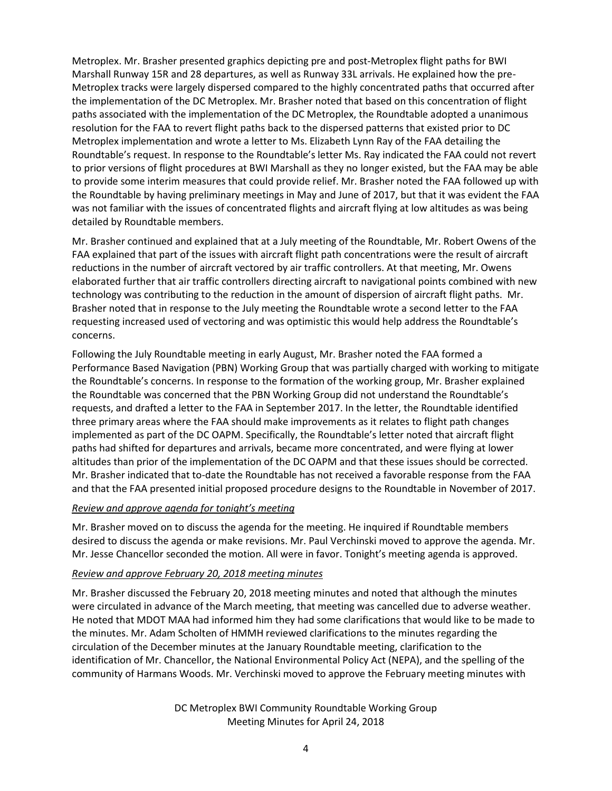Metroplex. Mr. Brasher presented graphics depicting pre and post-Metroplex flight paths for BWI Marshall Runway 15R and 28 departures, as well as Runway 33L arrivals. He explained how the pre-Metroplex tracks were largely dispersed compared to the highly concentrated paths that occurred after the implementation of the DC Metroplex. Mr. Brasher noted that based on this concentration of flight paths associated with the implementation of the DC Metroplex, the Roundtable adopted a unanimous resolution for the FAA to revert flight paths back to the dispersed patterns that existed prior to DC Metroplex implementation and wrote a letter to Ms. Elizabeth Lynn Ray of the FAA detailing the Roundtable's request. In response to the Roundtable's letter Ms. Ray indicated the FAA could not revert to prior versions of flight procedures at BWI Marshall as they no longer existed, but the FAA may be able to provide some interim measures that could provide relief. Mr. Brasher noted the FAA followed up with the Roundtable by having preliminary meetings in May and June of 2017, but that it was evident the FAA was not familiar with the issues of concentrated flights and aircraft flying at low altitudes as was being detailed by Roundtable members.

Mr. Brasher continued and explained that at a July meeting of the Roundtable, Mr. Robert Owens of the FAA explained that part of the issues with aircraft flight path concentrations were the result of aircraft reductions in the number of aircraft vectored by air traffic controllers. At that meeting, Mr. Owens elaborated further that air traffic controllers directing aircraft to navigational points combined with new technology was contributing to the reduction in the amount of dispersion of aircraft flight paths. Mr. Brasher noted that in response to the July meeting the Roundtable wrote a second letter to the FAA requesting increased used of vectoring and was optimistic this would help address the Roundtable's concerns.

Following the July Roundtable meeting in early August, Mr. Brasher noted the FAA formed a Performance Based Navigation (PBN) Working Group that was partially charged with working to mitigate the Roundtable's concerns. In response to the formation of the working group, Mr. Brasher explained the Roundtable was concerned that the PBN Working Group did not understand the Roundtable's requests, and drafted a letter to the FAA in September 2017. In the letter, the Roundtable identified three primary areas where the FAA should make improvements as it relates to flight path changes implemented as part of the DC OAPM. Specifically, the Roundtable's letter noted that aircraft flight paths had shifted for departures and arrivals, became more concentrated, and were flying at lower altitudes than prior of the implementation of the DC OAPM and that these issues should be corrected. Mr. Brasher indicated that to-date the Roundtable has not received a favorable response from the FAA and that the FAA presented initial proposed procedure designs to the Roundtable in November of 2017.

## *Review and approve agenda for tonight's meeting*

Mr. Brasher moved on to discuss the agenda for the meeting. He inquired if Roundtable members desired to discuss the agenda or make revisions. Mr. Paul Verchinski moved to approve the agenda. Mr. Mr. Jesse Chancellor seconded the motion. All were in favor. Tonight's meeting agenda is approved.

#### *Review and approve February 20, 2018 meeting minutes*

Mr. Brasher discussed the February 20, 2018 meeting minutes and noted that although the minutes were circulated in advance of the March meeting, that meeting was cancelled due to adverse weather. He noted that MDOT MAA had informed him they had some clarifications that would like to be made to the minutes. Mr. Adam Scholten of HMMH reviewed clarifications to the minutes regarding the circulation of the December minutes at the January Roundtable meeting, clarification to the identification of Mr. Chancellor, the National Environmental Policy Act (NEPA), and the spelling of the community of Harmans Woods. Mr. Verchinski moved to approve the February meeting minutes with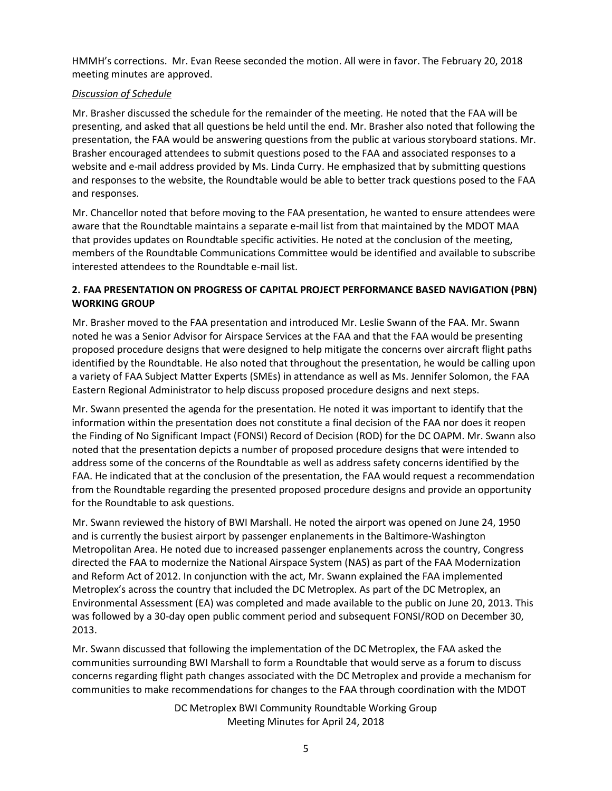HMMH's corrections. Mr. Evan Reese seconded the motion. All were in favor. The February 20, 2018 meeting minutes are approved.

## *Discussion of Schedule*

Mr. Brasher discussed the schedule for the remainder of the meeting. He noted that the FAA will be presenting, and asked that all questions be held until the end. Mr. Brasher also noted that following the presentation, the FAA would be answering questions from the public at various storyboard stations. Mr. Brasher encouraged attendees to submit questions posed to the FAA and associated responses to a website and e-mail address provided by Ms. Linda Curry. He emphasized that by submitting questions and responses to the website, the Roundtable would be able to better track questions posed to the FAA and responses.

Mr. Chancellor noted that before moving to the FAA presentation, he wanted to ensure attendees were aware that the Roundtable maintains a separate e-mail list from that maintained by the MDOT MAA that provides updates on Roundtable specific activities. He noted at the conclusion of the meeting, members of the Roundtable Communications Committee would be identified and available to subscribe interested attendees to the Roundtable e-mail list.

# **2. FAA PRESENTATION ON PROGRESS OF CAPITAL PROJECT PERFORMANCE BASED NAVIGATION (PBN) WORKING GROUP**

Mr. Brasher moved to the FAA presentation and introduced Mr. Leslie Swann of the FAA. Mr. Swann noted he was a Senior Advisor for Airspace Services at the FAA and that the FAA would be presenting proposed procedure designs that were designed to help mitigate the concerns over aircraft flight paths identified by the Roundtable. He also noted that throughout the presentation, he would be calling upon a variety of FAA Subject Matter Experts (SMEs) in attendance as well as Ms. Jennifer Solomon, the FAA Eastern Regional Administrator to help discuss proposed procedure designs and next steps.

Mr. Swann presented the agenda for the presentation. He noted it was important to identify that the information within the presentation does not constitute a final decision of the FAA nor does it reopen the Finding of No Significant Impact (FONSI) Record of Decision (ROD) for the DC OAPM. Mr. Swann also noted that the presentation depicts a number of proposed procedure designs that were intended to address some of the concerns of the Roundtable as well as address safety concerns identified by the FAA. He indicated that at the conclusion of the presentation, the FAA would request a recommendation from the Roundtable regarding the presented proposed procedure designs and provide an opportunity for the Roundtable to ask questions.

Mr. Swann reviewed the history of BWI Marshall. He noted the airport was opened on June 24, 1950 and is currently the busiest airport by passenger enplanements in the Baltimore-Washington Metropolitan Area. He noted due to increased passenger enplanements across the country, Congress directed the FAA to modernize the National Airspace System (NAS) as part of the FAA Modernization and Reform Act of 2012. In conjunction with the act, Mr. Swann explained the FAA implemented Metroplex's across the country that included the DC Metroplex. As part of the DC Metroplex, an Environmental Assessment (EA) was completed and made available to the public on June 20, 2013. This was followed by a 30-day open public comment period and subsequent FONSI/ROD on December 30, 2013.

Mr. Swann discussed that following the implementation of the DC Metroplex, the FAA asked the communities surrounding BWI Marshall to form a Roundtable that would serve as a forum to discuss concerns regarding flight path changes associated with the DC Metroplex and provide a mechanism for communities to make recommendations for changes to the FAA through coordination with the MDOT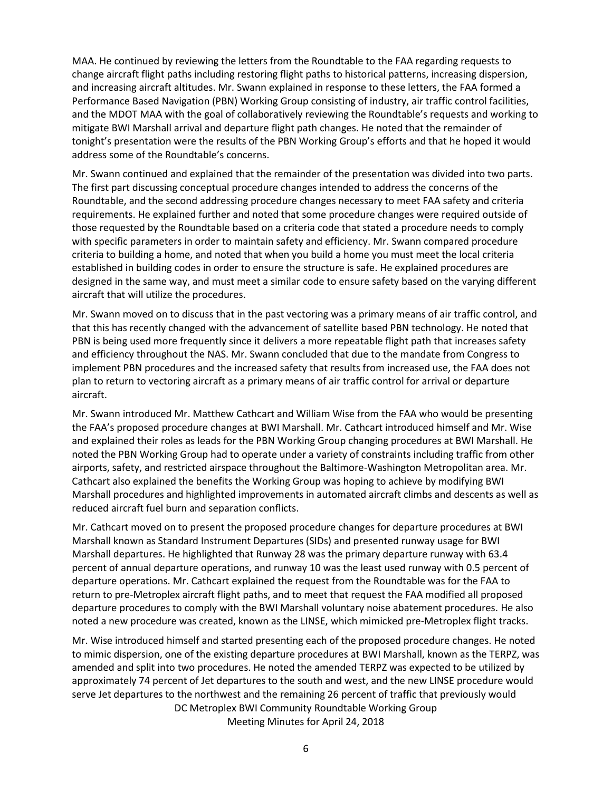MAA. He continued by reviewing the letters from the Roundtable to the FAA regarding requests to change aircraft flight paths including restoring flight paths to historical patterns, increasing dispersion, and increasing aircraft altitudes. Mr. Swann explained in response to these letters, the FAA formed a Performance Based Navigation (PBN) Working Group consisting of industry, air traffic control facilities, and the MDOT MAA with the goal of collaboratively reviewing the Roundtable's requests and working to mitigate BWI Marshall arrival and departure flight path changes. He noted that the remainder of tonight's presentation were the results of the PBN Working Group's efforts and that he hoped it would address some of the Roundtable's concerns.

Mr. Swann continued and explained that the remainder of the presentation was divided into two parts. The first part discussing conceptual procedure changes intended to address the concerns of the Roundtable, and the second addressing procedure changes necessary to meet FAA safety and criteria requirements. He explained further and noted that some procedure changes were required outside of those requested by the Roundtable based on a criteria code that stated a procedure needs to comply with specific parameters in order to maintain safety and efficiency. Mr. Swann compared procedure criteria to building a home, and noted that when you build a home you must meet the local criteria established in building codes in order to ensure the structure is safe. He explained procedures are designed in the same way, and must meet a similar code to ensure safety based on the varying different aircraft that will utilize the procedures.

Mr. Swann moved on to discuss that in the past vectoring was a primary means of air traffic control, and that this has recently changed with the advancement of satellite based PBN technology. He noted that PBN is being used more frequently since it delivers a more repeatable flight path that increases safety and efficiency throughout the NAS. Mr. Swann concluded that due to the mandate from Congress to implement PBN procedures and the increased safety that results from increased use, the FAA does not plan to return to vectoring aircraft as a primary means of air traffic control for arrival or departure aircraft.

Mr. Swann introduced Mr. Matthew Cathcart and William Wise from the FAA who would be presenting the FAA's proposed procedure changes at BWI Marshall. Mr. Cathcart introduced himself and Mr. Wise and explained their roles as leads for the PBN Working Group changing procedures at BWI Marshall. He noted the PBN Working Group had to operate under a variety of constraints including traffic from other airports, safety, and restricted airspace throughout the Baltimore-Washington Metropolitan area. Mr. Cathcart also explained the benefits the Working Group was hoping to achieve by modifying BWI Marshall procedures and highlighted improvements in automated aircraft climbs and descents as well as reduced aircraft fuel burn and separation conflicts.

Mr. Cathcart moved on to present the proposed procedure changes for departure procedures at BWI Marshall known as Standard Instrument Departures (SIDs) and presented runway usage for BWI Marshall departures. He highlighted that Runway 28 was the primary departure runway with 63.4 percent of annual departure operations, and runway 10 was the least used runway with 0.5 percent of departure operations. Mr. Cathcart explained the request from the Roundtable was for the FAA to return to pre-Metroplex aircraft flight paths, and to meet that request the FAA modified all proposed departure procedures to comply with the BWI Marshall voluntary noise abatement procedures. He also noted a new procedure was created, known as the LINSE, which mimicked pre-Metroplex flight tracks.

DC Metroplex BWI Community Roundtable Working Group Meeting Minutes for April 24, 2018 Mr. Wise introduced himself and started presenting each of the proposed procedure changes. He noted to mimic dispersion, one of the existing departure procedures at BWI Marshall, known as the TERPZ, was amended and split into two procedures. He noted the amended TERPZ was expected to be utilized by approximately 74 percent of Jet departures to the south and west, and the new LINSE procedure would serve Jet departures to the northwest and the remaining 26 percent of traffic that previously would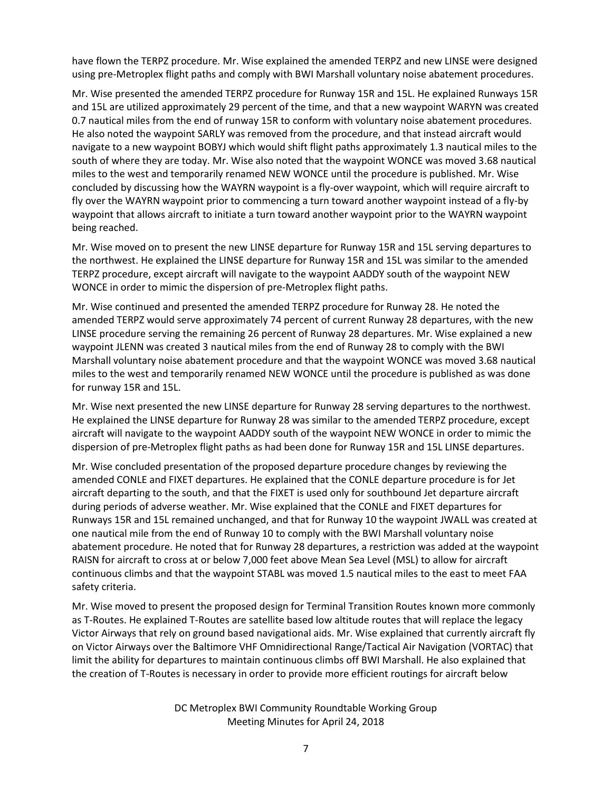have flown the TERPZ procedure. Mr. Wise explained the amended TERPZ and new LINSE were designed using pre-Metroplex flight paths and comply with BWI Marshall voluntary noise abatement procedures.

Mr. Wise presented the amended TERPZ procedure for Runway 15R and 15L. He explained Runways 15R and 15L are utilized approximately 29 percent of the time, and that a new waypoint WARYN was created 0.7 nautical miles from the end of runway 15R to conform with voluntary noise abatement procedures. He also noted the waypoint SARLY was removed from the procedure, and that instead aircraft would navigate to a new waypoint BOBYJ which would shift flight paths approximately 1.3 nautical miles to the south of where they are today. Mr. Wise also noted that the waypoint WONCE was moved 3.68 nautical miles to the west and temporarily renamed NEW WONCE until the procedure is published. Mr. Wise concluded by discussing how the WAYRN waypoint is a fly-over waypoint, which will require aircraft to fly over the WAYRN waypoint prior to commencing a turn toward another waypoint instead of a fly-by waypoint that allows aircraft to initiate a turn toward another waypoint prior to the WAYRN waypoint being reached.

Mr. Wise moved on to present the new LINSE departure for Runway 15R and 15L serving departures to the northwest. He explained the LINSE departure for Runway 15R and 15L was similar to the amended TERPZ procedure, except aircraft will navigate to the waypoint AADDY south of the waypoint NEW WONCE in order to mimic the dispersion of pre-Metroplex flight paths.

Mr. Wise continued and presented the amended TERPZ procedure for Runway 28. He noted the amended TERPZ would serve approximately 74 percent of current Runway 28 departures, with the new LINSE procedure serving the remaining 26 percent of Runway 28 departures. Mr. Wise explained a new waypoint JLENN was created 3 nautical miles from the end of Runway 28 to comply with the BWI Marshall voluntary noise abatement procedure and that the waypoint WONCE was moved 3.68 nautical miles to the west and temporarily renamed NEW WONCE until the procedure is published as was done for runway 15R and 15L.

Mr. Wise next presented the new LINSE departure for Runway 28 serving departures to the northwest. He explained the LINSE departure for Runway 28 was similar to the amended TERPZ procedure, except aircraft will navigate to the waypoint AADDY south of the waypoint NEW WONCE in order to mimic the dispersion of pre-Metroplex flight paths as had been done for Runway 15R and 15L LINSE departures.

Mr. Wise concluded presentation of the proposed departure procedure changes by reviewing the amended CONLE and FIXET departures. He explained that the CONLE departure procedure is for Jet aircraft departing to the south, and that the FIXET is used only for southbound Jet departure aircraft during periods of adverse weather. Mr. Wise explained that the CONLE and FIXET departures for Runways 15R and 15L remained unchanged, and that for Runway 10 the waypoint JWALL was created at one nautical mile from the end of Runway 10 to comply with the BWI Marshall voluntary noise abatement procedure. He noted that for Runway 28 departures, a restriction was added at the waypoint RAISN for aircraft to cross at or below 7,000 feet above Mean Sea Level (MSL) to allow for aircraft continuous climbs and that the waypoint STABL was moved 1.5 nautical miles to the east to meet FAA safety criteria.

Mr. Wise moved to present the proposed design for Terminal Transition Routes known more commonly as T-Routes. He explained T-Routes are satellite based low altitude routes that will replace the legacy Victor Airways that rely on ground based navigational aids. Mr. Wise explained that currently aircraft fly on Victor Airways over the Baltimore VHF Omnidirectional Range/Tactical Air Navigation (VORTAC) that limit the ability for departures to maintain continuous climbs off BWI Marshall. He also explained that the creation of T-Routes is necessary in order to provide more efficient routings for aircraft below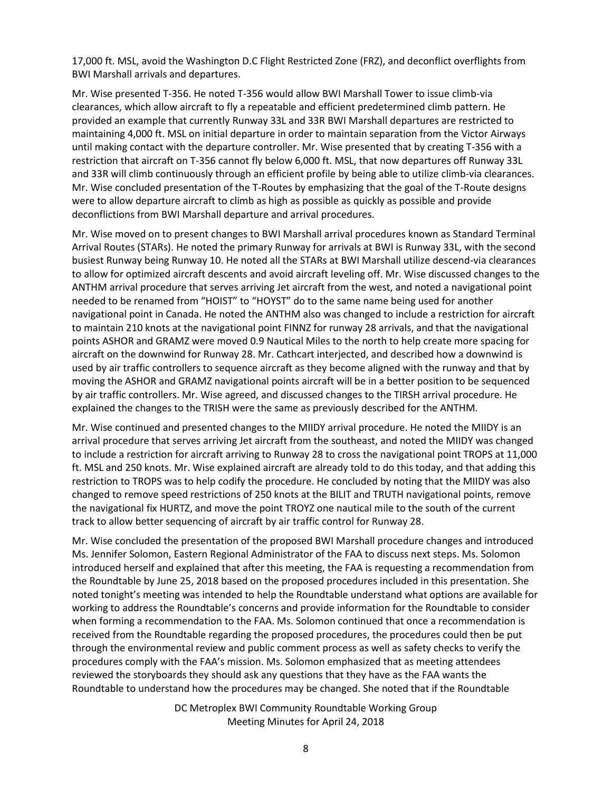17,000 ft. MSL, avoid the Washington D.C Flight Restricted Zone (FRZ), and deconflict overflights from BWI Marshall arrivals and departures.

Mr. Wise presented T-356. He noted T-356 would allow BWI Marshall Tower to issue climb-via clearances, which allow aircraft to fly a repeatable and efficient predetermined climb pattern. He provided an example that currently Runway 33L and 33R BWI Marshall departures are restricted to maintaining 4,000 ft. MSL on initial departure in order to maintain separation from the Victor Airways until making contact with the departure controller. Mr. Wise presented that by creating T-356 with a restriction that aircraft on T-356 cannot fly below 6,000 ft. MSL, that now departures off Runway 33L and 33R will climb continuously through an efficient profile by being able to utilize climb-via clearances. Mr. Wise concluded presentation of the T-Routes by emphasizing that the goal of the T-Route designs were to allow departure aircraft to climb as high as possible as quickly as possible and provide deconflictions from BWI Marshall departure and arrival procedures.

Mr. Wise moved on to present changes to BWI Marshall arrival procedures known as Standard Terminal Arrival Routes (STARs). He noted the primary Runway for arrivals at BWI is Runway 33L, with the second busiest Runway being Runway 10. He noted all the STARs at BWI Marshall utilize descend-via clearances to allow for optimized aircraft descents and avoid aircraft leveling off. Mr. Wise discussed changes to the ANTHM arrival procedure that serves arriving Jet aircraft from the west, and noted a navigational point needed to be renamed from "HOIST" to "HOYST" do to the same name being used for another navigational point in Canada. He noted the ANTHM also was changed to include a restriction for aircraft to maintain 210 knots at the navigational point FINNZ for runway 28 arrivals, and that the navigational points ASHOR and GRAMZ were moved 0.9 Nautical Miles to the north to help create more spacing for aircraft on the downwind for Runway 28. Mr. Cathcart interjected, and described how a downwind is used by air traffic controllers to sequence aircraft as they become aligned with the runway and that by moving the ASHOR and GRAMZ navigational points aircraft will be in a better position to be sequenced by air traffic controllers. Mr. Wise agreed, and discussed changes to the TIRSH arrival procedure. He explained the changes to the TRISH were the same as previously described for the ANTHM.

Mr. Wise continued and presented changes to the MIIDY arrival procedure. He noted the MIIDY is an arrival procedure that serves arriving Jet aircraft from the southeast, and noted the MIIDY was changed to include a restriction for aircraft arriving to Runway 28 to cross the navigational point TROPS at 11,000 ft. MSL and 250 knots. Mr. Wise explained aircraft are already told to do this today, and that adding this restriction to TROPS was to help codify the procedure. He concluded by noting that the MIIDY was also changed to remove speed restrictions of 250 knots at the BILIT and TRUTH navigational points, remove the navigational fix HURTZ, and move the point TROYZ one nautical mile to the south of the current track to allow better sequencing of aircraft by air traffic control for Runway 28.

Mr. Wise concluded the presentation of the proposed BWI Marshall procedure changes and introduced Ms. Jennifer Solomon, Eastern Regional Administrator of the FAA to discuss next steps. Ms. Solomon introduced herself and explained that after this meeting, the FAA is requesting a recommendation from the Roundtable by June 25, 2018 based on the proposed procedures included in this presentation. She noted tonight's meeting was intended to help the Roundtable understand what options are available for working to address the Roundtable's concerns and provide information for the Roundtable to consider when forming a recommendation to the FAA. Ms. Solomon continued that once a recommendation is received from the Roundtable regarding the proposed procedures, the procedures could then be put through the environmental review and public comment process as well as safety checks to verify the procedures comply with the FAA's mission. Ms. Solomon emphasized that as meeting attendees reviewed the storyboards they should ask any questions that they have as the FAA wants the Roundtable to understand how the procedures may be changed. She noted that if the Roundtable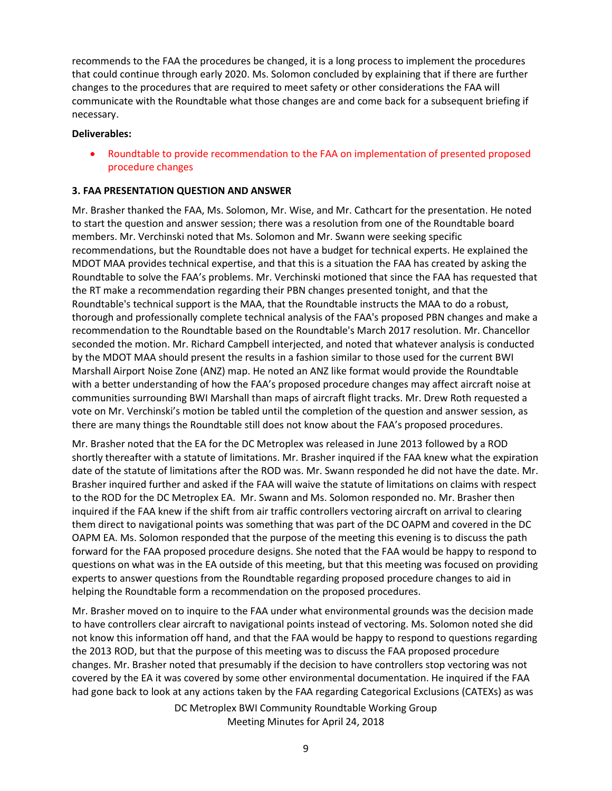recommends to the FAA the procedures be changed, it is a long process to implement the procedures that could continue through early 2020. Ms. Solomon concluded by explaining that if there are further changes to the procedures that are required to meet safety or other considerations the FAA will communicate with the Roundtable what those changes are and come back for a subsequent briefing if necessary.

### **Deliverables:**

 Roundtable to provide recommendation to the FAA on implementation of presented proposed procedure changes

## **3. FAA PRESENTATION QUESTION AND ANSWER**

Mr. Brasher thanked the FAA, Ms. Solomon, Mr. Wise, and Mr. Cathcart for the presentation. He noted to start the question and answer session; there was a resolution from one of the Roundtable board members. Mr. Verchinski noted that Ms. Solomon and Mr. Swann were seeking specific recommendations, but the Roundtable does not have a budget for technical experts. He explained the MDOT MAA provides technical expertise, and that this is a situation the FAA has created by asking the Roundtable to solve the FAA's problems. Mr. Verchinski motioned that since the FAA has requested that the RT make a recommendation regarding their PBN changes presented tonight, and that the Roundtable's technical support is the MAA, that the Roundtable instructs the MAA to do a robust, thorough and professionally complete technical analysis of the FAA's proposed PBN changes and make a recommendation to the Roundtable based on the Roundtable's March 2017 resolution. Mr. Chancellor seconded the motion. Mr. Richard Campbell interjected, and noted that whatever analysis is conducted by the MDOT MAA should present the results in a fashion similar to those used for the current BWI Marshall Airport Noise Zone (ANZ) map. He noted an ANZ like format would provide the Roundtable with a better understanding of how the FAA's proposed procedure changes may affect aircraft noise at communities surrounding BWI Marshall than maps of aircraft flight tracks. Mr. Drew Roth requested a vote on Mr. Verchinski's motion be tabled until the completion of the question and answer session, as there are many things the Roundtable still does not know about the FAA's proposed procedures.

Mr. Brasher noted that the EA for the DC Metroplex was released in June 2013 followed by a ROD shortly thereafter with a statute of limitations. Mr. Brasher inquired if the FAA knew what the expiration date of the statute of limitations after the ROD was. Mr. Swann responded he did not have the date. Mr. Brasher inquired further and asked if the FAA will waive the statute of limitations on claims with respect to the ROD for the DC Metroplex EA. Mr. Swann and Ms. Solomon responded no. Mr. Brasher then inquired if the FAA knew if the shift from air traffic controllers vectoring aircraft on arrival to clearing them direct to navigational points was something that was part of the DC OAPM and covered in the DC OAPM EA. Ms. Solomon responded that the purpose of the meeting this evening is to discuss the path forward for the FAA proposed procedure designs. She noted that the FAA would be happy to respond to questions on what was in the EA outside of this meeting, but that this meeting was focused on providing experts to answer questions from the Roundtable regarding proposed procedure changes to aid in helping the Roundtable form a recommendation on the proposed procedures.

Mr. Brasher moved on to inquire to the FAA under what environmental grounds was the decision made to have controllers clear aircraft to navigational points instead of vectoring. Ms. Solomon noted she did not know this information off hand, and that the FAA would be happy to respond to questions regarding the 2013 ROD, but that the purpose of this meeting was to discuss the FAA proposed procedure changes. Mr. Brasher noted that presumably if the decision to have controllers stop vectoring was not covered by the EA it was covered by some other environmental documentation. He inquired if the FAA had gone back to look at any actions taken by the FAA regarding Categorical Exclusions (CATEXs) as was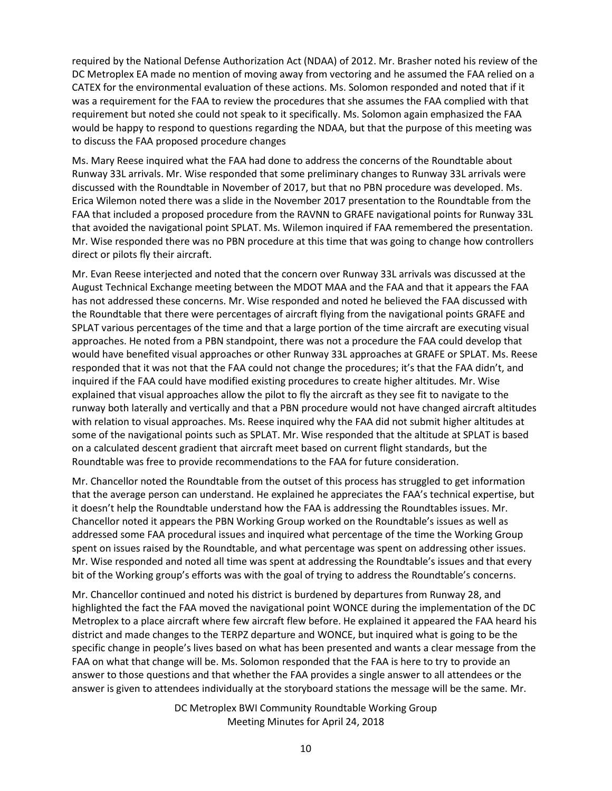required by the National Defense Authorization Act (NDAA) of 2012. Mr. Brasher noted his review of the DC Metroplex EA made no mention of moving away from vectoring and he assumed the FAA relied on a CATEX for the environmental evaluation of these actions. Ms. Solomon responded and noted that if it was a requirement for the FAA to review the procedures that she assumes the FAA complied with that requirement but noted she could not speak to it specifically. Ms. Solomon again emphasized the FAA would be happy to respond to questions regarding the NDAA, but that the purpose of this meeting was to discuss the FAA proposed procedure changes

Ms. Mary Reese inquired what the FAA had done to address the concerns of the Roundtable about Runway 33L arrivals. Mr. Wise responded that some preliminary changes to Runway 33L arrivals were discussed with the Roundtable in November of 2017, but that no PBN procedure was developed. Ms. Erica Wilemon noted there was a slide in the November 2017 presentation to the Roundtable from the FAA that included a proposed procedure from the RAVNN to GRAFE navigational points for Runway 33L that avoided the navigational point SPLAT. Ms. Wilemon inquired if FAA remembered the presentation. Mr. Wise responded there was no PBN procedure at this time that was going to change how controllers direct or pilots fly their aircraft.

Mr. Evan Reese interjected and noted that the concern over Runway 33L arrivals was discussed at the August Technical Exchange meeting between the MDOT MAA and the FAA and that it appears the FAA has not addressed these concerns. Mr. Wise responded and noted he believed the FAA discussed with the Roundtable that there were percentages of aircraft flying from the navigational points GRAFE and SPLAT various percentages of the time and that a large portion of the time aircraft are executing visual approaches. He noted from a PBN standpoint, there was not a procedure the FAA could develop that would have benefited visual approaches or other Runway 33L approaches at GRAFE or SPLAT. Ms. Reese responded that it was not that the FAA could not change the procedures; it's that the FAA didn't, and inquired if the FAA could have modified existing procedures to create higher altitudes. Mr. Wise explained that visual approaches allow the pilot to fly the aircraft as they see fit to navigate to the runway both laterally and vertically and that a PBN procedure would not have changed aircraft altitudes with relation to visual approaches. Ms. Reese inquired why the FAA did not submit higher altitudes at some of the navigational points such as SPLAT. Mr. Wise responded that the altitude at SPLAT is based on a calculated descent gradient that aircraft meet based on current flight standards, but the Roundtable was free to provide recommendations to the FAA for future consideration.

Mr. Chancellor noted the Roundtable from the outset of this process has struggled to get information that the average person can understand. He explained he appreciates the FAA's technical expertise, but it doesn't help the Roundtable understand how the FAA is addressing the Roundtables issues. Mr. Chancellor noted it appears the PBN Working Group worked on the Roundtable's issues as well as addressed some FAA procedural issues and inquired what percentage of the time the Working Group spent on issues raised by the Roundtable, and what percentage was spent on addressing other issues. Mr. Wise responded and noted all time was spent at addressing the Roundtable's issues and that every bit of the Working group's efforts was with the goal of trying to address the Roundtable's concerns.

Mr. Chancellor continued and noted his district is burdened by departures from Runway 28, and highlighted the fact the FAA moved the navigational point WONCE during the implementation of the DC Metroplex to a place aircraft where few aircraft flew before. He explained it appeared the FAA heard his district and made changes to the TERPZ departure and WONCE, but inquired what is going to be the specific change in people's lives based on what has been presented and wants a clear message from the FAA on what that change will be. Ms. Solomon responded that the FAA is here to try to provide an answer to those questions and that whether the FAA provides a single answer to all attendees or the answer is given to attendees individually at the storyboard stations the message will be the same. Mr.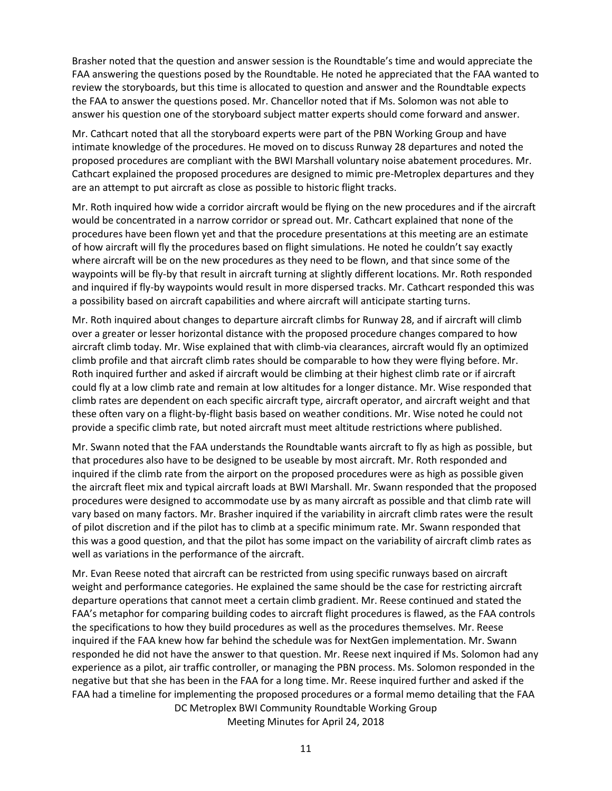Brasher noted that the question and answer session is the Roundtable's time and would appreciate the FAA answering the questions posed by the Roundtable. He noted he appreciated that the FAA wanted to review the storyboards, but this time is allocated to question and answer and the Roundtable expects the FAA to answer the questions posed. Mr. Chancellor noted that if Ms. Solomon was not able to answer his question one of the storyboard subject matter experts should come forward and answer.

Mr. Cathcart noted that all the storyboard experts were part of the PBN Working Group and have intimate knowledge of the procedures. He moved on to discuss Runway 28 departures and noted the proposed procedures are compliant with the BWI Marshall voluntary noise abatement procedures. Mr. Cathcart explained the proposed procedures are designed to mimic pre-Metroplex departures and they are an attempt to put aircraft as close as possible to historic flight tracks.

Mr. Roth inquired how wide a corridor aircraft would be flying on the new procedures and if the aircraft would be concentrated in a narrow corridor or spread out. Mr. Cathcart explained that none of the procedures have been flown yet and that the procedure presentations at this meeting are an estimate of how aircraft will fly the procedures based on flight simulations. He noted he couldn't say exactly where aircraft will be on the new procedures as they need to be flown, and that since some of the waypoints will be fly-by that result in aircraft turning at slightly different locations. Mr. Roth responded and inquired if fly-by waypoints would result in more dispersed tracks. Mr. Cathcart responded this was a possibility based on aircraft capabilities and where aircraft will anticipate starting turns.

Mr. Roth inquired about changes to departure aircraft climbs for Runway 28, and if aircraft will climb over a greater or lesser horizontal distance with the proposed procedure changes compared to how aircraft climb today. Mr. Wise explained that with climb-via clearances, aircraft would fly an optimized climb profile and that aircraft climb rates should be comparable to how they were flying before. Mr. Roth inquired further and asked if aircraft would be climbing at their highest climb rate or if aircraft could fly at a low climb rate and remain at low altitudes for a longer distance. Mr. Wise responded that climb rates are dependent on each specific aircraft type, aircraft operator, and aircraft weight and that these often vary on a flight-by-flight basis based on weather conditions. Mr. Wise noted he could not provide a specific climb rate, but noted aircraft must meet altitude restrictions where published.

Mr. Swann noted that the FAA understands the Roundtable wants aircraft to fly as high as possible, but that procedures also have to be designed to be useable by most aircraft. Mr. Roth responded and inquired if the climb rate from the airport on the proposed procedures were as high as possible given the aircraft fleet mix and typical aircraft loads at BWI Marshall. Mr. Swann responded that the proposed procedures were designed to accommodate use by as many aircraft as possible and that climb rate will vary based on many factors. Mr. Brasher inquired if the variability in aircraft climb rates were the result of pilot discretion and if the pilot has to climb at a specific minimum rate. Mr. Swann responded that this was a good question, and that the pilot has some impact on the variability of aircraft climb rates as well as variations in the performance of the aircraft.

DC Metroplex BWI Community Roundtable Working Group Mr. Evan Reese noted that aircraft can be restricted from using specific runways based on aircraft weight and performance categories. He explained the same should be the case for restricting aircraft departure operations that cannot meet a certain climb gradient. Mr. Reese continued and stated the FAA's metaphor for comparing building codes to aircraft flight procedures is flawed, as the FAA controls the specifications to how they build procedures as well as the procedures themselves. Mr. Reese inquired if the FAA knew how far behind the schedule was for NextGen implementation. Mr. Swann responded he did not have the answer to that question. Mr. Reese next inquired if Ms. Solomon had any experience as a pilot, air traffic controller, or managing the PBN process. Ms. Solomon responded in the negative but that she has been in the FAA for a long time. Mr. Reese inquired further and asked if the FAA had a timeline for implementing the proposed procedures or a formal memo detailing that the FAA

Meeting Minutes for April 24, 2018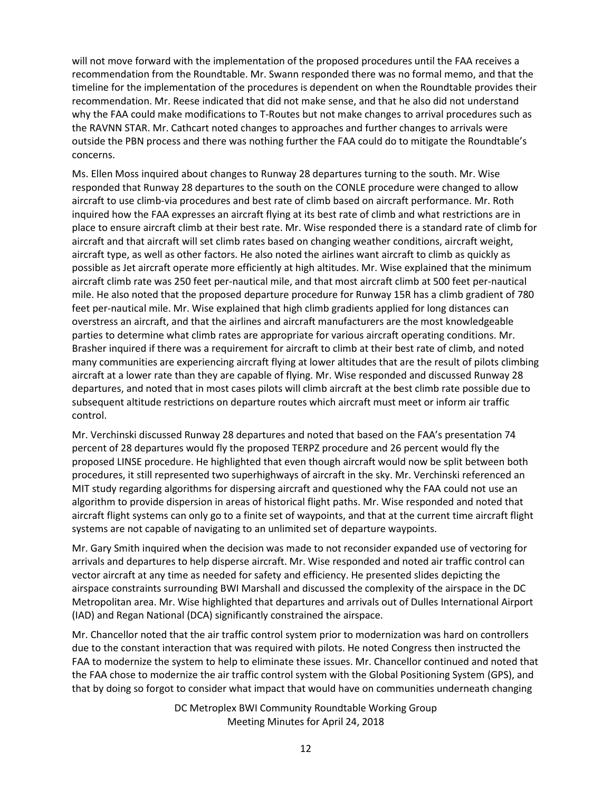will not move forward with the implementation of the proposed procedures until the FAA receives a recommendation from the Roundtable. Mr. Swann responded there was no formal memo, and that the timeline for the implementation of the procedures is dependent on when the Roundtable provides their recommendation. Mr. Reese indicated that did not make sense, and that he also did not understand why the FAA could make modifications to T-Routes but not make changes to arrival procedures such as the RAVNN STAR. Mr. Cathcart noted changes to approaches and further changes to arrivals were outside the PBN process and there was nothing further the FAA could do to mitigate the Roundtable's concerns.

Ms. Ellen Moss inquired about changes to Runway 28 departures turning to the south. Mr. Wise responded that Runway 28 departures to the south on the CONLE procedure were changed to allow aircraft to use climb-via procedures and best rate of climb based on aircraft performance. Mr. Roth inquired how the FAA expresses an aircraft flying at its best rate of climb and what restrictions are in place to ensure aircraft climb at their best rate. Mr. Wise responded there is a standard rate of climb for aircraft and that aircraft will set climb rates based on changing weather conditions, aircraft weight, aircraft type, as well as other factors. He also noted the airlines want aircraft to climb as quickly as possible as Jet aircraft operate more efficiently at high altitudes. Mr. Wise explained that the minimum aircraft climb rate was 250 feet per-nautical mile, and that most aircraft climb at 500 feet per-nautical mile. He also noted that the proposed departure procedure for Runway 15R has a climb gradient of 780 feet per-nautical mile. Mr. Wise explained that high climb gradients applied for long distances can overstress an aircraft, and that the airlines and aircraft manufacturers are the most knowledgeable parties to determine what climb rates are appropriate for various aircraft operating conditions. Mr. Brasher inquired if there was a requirement for aircraft to climb at their best rate of climb, and noted many communities are experiencing aircraft flying at lower altitudes that are the result of pilots climbing aircraft at a lower rate than they are capable of flying. Mr. Wise responded and discussed Runway 28 departures, and noted that in most cases pilots will climb aircraft at the best climb rate possible due to subsequent altitude restrictions on departure routes which aircraft must meet or inform air traffic control.

Mr. Verchinski discussed Runway 28 departures and noted that based on the FAA's presentation 74 percent of 28 departures would fly the proposed TERPZ procedure and 26 percent would fly the proposed LINSE procedure. He highlighted that even though aircraft would now be split between both procedures, it still represented two superhighways of aircraft in the sky. Mr. Verchinski referenced an MIT study regarding algorithms for dispersing aircraft and questioned why the FAA could not use an algorithm to provide dispersion in areas of historical flight paths. Mr. Wise responded and noted that aircraft flight systems can only go to a finite set of waypoints, and that at the current time aircraft flight systems are not capable of navigating to an unlimited set of departure waypoints.

Mr. Gary Smith inquired when the decision was made to not reconsider expanded use of vectoring for arrivals and departures to help disperse aircraft. Mr. Wise responded and noted air traffic control can vector aircraft at any time as needed for safety and efficiency. He presented slides depicting the airspace constraints surrounding BWI Marshall and discussed the complexity of the airspace in the DC Metropolitan area. Mr. Wise highlighted that departures and arrivals out of Dulles International Airport (IAD) and Regan National (DCA) significantly constrained the airspace.

Mr. Chancellor noted that the air traffic control system prior to modernization was hard on controllers due to the constant interaction that was required with pilots. He noted Congress then instructed the FAA to modernize the system to help to eliminate these issues. Mr. Chancellor continued and noted that the FAA chose to modernize the air traffic control system with the Global Positioning System (GPS), and that by doing so forgot to consider what impact that would have on communities underneath changing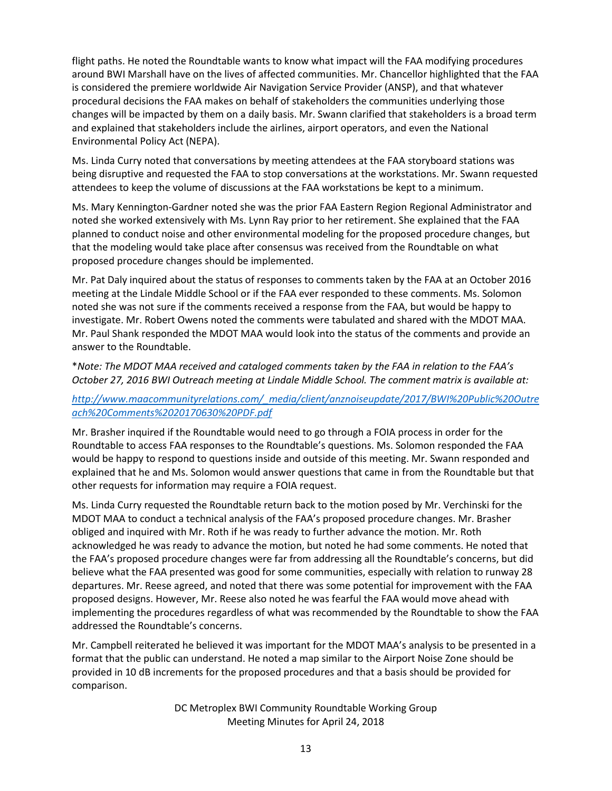flight paths. He noted the Roundtable wants to know what impact will the FAA modifying procedures around BWI Marshall have on the lives of affected communities. Mr. Chancellor highlighted that the FAA is considered the premiere worldwide Air Navigation Service Provider (ANSP), and that whatever procedural decisions the FAA makes on behalf of stakeholders the communities underlying those changes will be impacted by them on a daily basis. Mr. Swann clarified that stakeholders is a broad term and explained that stakeholders include the airlines, airport operators, and even the National Environmental Policy Act (NEPA).

Ms. Linda Curry noted that conversations by meeting attendees at the FAA storyboard stations was being disruptive and requested the FAA to stop conversations at the workstations. Mr. Swann requested attendees to keep the volume of discussions at the FAA workstations be kept to a minimum.

Ms. Mary Kennington-Gardner noted she was the prior FAA Eastern Region Regional Administrator and noted she worked extensively with Ms. Lynn Ray prior to her retirement. She explained that the FAA planned to conduct noise and other environmental modeling for the proposed procedure changes, but that the modeling would take place after consensus was received from the Roundtable on what proposed procedure changes should be implemented.

Mr. Pat Daly inquired about the status of responses to comments taken by the FAA at an October 2016 meeting at the Lindale Middle School or if the FAA ever responded to these comments. Ms. Solomon noted she was not sure if the comments received a response from the FAA, but would be happy to investigate. Mr. Robert Owens noted the comments were tabulated and shared with the MDOT MAA. Mr. Paul Shank responded the MDOT MAA would look into the status of the comments and provide an answer to the Roundtable.

\**Note: The MDOT MAA received and cataloged comments taken by the FAA in relation to the FAA's October 27, 2016 BWI Outreach meeting at Lindale Middle School. The comment matrix is available at:* 

# *[http://www.maacommunityrelations.com/\\_media/client/anznoiseupdate/2017/BWI%20Public%20Outre](http://www.maacommunityrelations.com/_media/client/anznoiseupdate/2017/BWI%20Public%20Outreach%20Comments%2020170630%20PDF.pdf) [ach%20Comments%2020170630%20PDF.pdf](http://www.maacommunityrelations.com/_media/client/anznoiseupdate/2017/BWI%20Public%20Outreach%20Comments%2020170630%20PDF.pdf)*

Mr. Brasher inquired if the Roundtable would need to go through a FOIA process in order for the Roundtable to access FAA responses to the Roundtable's questions. Ms. Solomon responded the FAA would be happy to respond to questions inside and outside of this meeting. Mr. Swann responded and explained that he and Ms. Solomon would answer questions that came in from the Roundtable but that other requests for information may require a FOIA request.

Ms. Linda Curry requested the Roundtable return back to the motion posed by Mr. Verchinski for the MDOT MAA to conduct a technical analysis of the FAA's proposed procedure changes. Mr. Brasher obliged and inquired with Mr. Roth if he was ready to further advance the motion. Mr. Roth acknowledged he was ready to advance the motion, but noted he had some comments. He noted that the FAA's proposed procedure changes were far from addressing all the Roundtable's concerns, but did believe what the FAA presented was good for some communities, especially with relation to runway 28 departures. Mr. Reese agreed, and noted that there was some potential for improvement with the FAA proposed designs. However, Mr. Reese also noted he was fearful the FAA would move ahead with implementing the procedures regardless of what was recommended by the Roundtable to show the FAA addressed the Roundtable's concerns.

Mr. Campbell reiterated he believed it was important for the MDOT MAA's analysis to be presented in a format that the public can understand. He noted a map similar to the Airport Noise Zone should be provided in 10 dB increments for the proposed procedures and that a basis should be provided for comparison.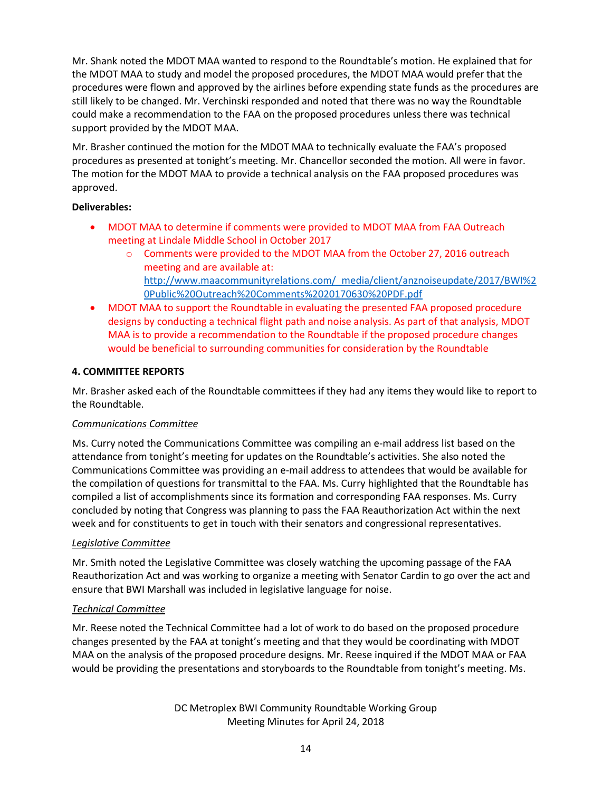Mr. Shank noted the MDOT MAA wanted to respond to the Roundtable's motion. He explained that for the MDOT MAA to study and model the proposed procedures, the MDOT MAA would prefer that the procedures were flown and approved by the airlines before expending state funds as the procedures are still likely to be changed. Mr. Verchinski responded and noted that there was no way the Roundtable could make a recommendation to the FAA on the proposed procedures unless there was technical support provided by the MDOT MAA.

Mr. Brasher continued the motion for the MDOT MAA to technically evaluate the FAA's proposed procedures as presented at tonight's meeting. Mr. Chancellor seconded the motion. All were in favor. The motion for the MDOT MAA to provide a technical analysis on the FAA proposed procedures was approved.

# **Deliverables:**

- MDOT MAA to determine if comments were provided to MDOT MAA from FAA Outreach meeting at Lindale Middle School in October 2017
	- o Comments were provided to the MDOT MAA from the October 27, 2016 outreach meeting and are available at: [http://www.maacommunityrelations.com/\\_media/client/anznoiseupdate/2017/BWI%2](http://www.maacommunityrelations.com/_media/client/anznoiseupdate/2017/BWI%20Public%20Outreach%20Comments%2020170630%20PDF.pdf) [0Public%20Outreach%20Comments%2020170630%20PDF.pdf](http://www.maacommunityrelations.com/_media/client/anznoiseupdate/2017/BWI%20Public%20Outreach%20Comments%2020170630%20PDF.pdf)
- MDOT MAA to support the Roundtable in evaluating the presented FAA proposed procedure designs by conducting a technical flight path and noise analysis. As part of that analysis, MDOT MAA is to provide a recommendation to the Roundtable if the proposed procedure changes would be beneficial to surrounding communities for consideration by the Roundtable

# **4. COMMITTEE REPORTS**

Mr. Brasher asked each of the Roundtable committees if they had any items they would like to report to the Roundtable.

## *Communications Committee*

Ms. Curry noted the Communications Committee was compiling an e-mail address list based on the attendance from tonight's meeting for updates on the Roundtable's activities. She also noted the Communications Committee was providing an e-mail address to attendees that would be available for the compilation of questions for transmittal to the FAA. Ms. Curry highlighted that the Roundtable has compiled a list of accomplishments since its formation and corresponding FAA responses. Ms. Curry concluded by noting that Congress was planning to pass the FAA Reauthorization Act within the next week and for constituents to get in touch with their senators and congressional representatives.

## *Legislative Committee*

Mr. Smith noted the Legislative Committee was closely watching the upcoming passage of the FAA Reauthorization Act and was working to organize a meeting with Senator Cardin to go over the act and ensure that BWI Marshall was included in legislative language for noise.

## *Technical Committee*

Mr. Reese noted the Technical Committee had a lot of work to do based on the proposed procedure changes presented by the FAA at tonight's meeting and that they would be coordinating with MDOT MAA on the analysis of the proposed procedure designs. Mr. Reese inquired if the MDOT MAA or FAA would be providing the presentations and storyboards to the Roundtable from tonight's meeting. Ms.